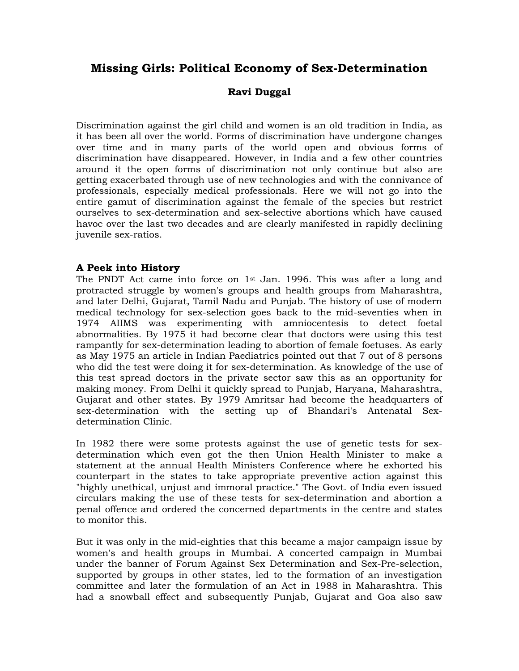# **Missing Girls: Political Economy of Sex-Determination**

## **Ravi Duggal**

Discrimination against the girl child and women is an old tradition in India, as it has been all over the world. Forms of discrimination have undergone changes over time and in many parts of the world open and obvious forms of discrimination have disappeared. However, in India and a few other countries around it the open forms of discrimination not only continue but also are getting exacerbated through use of new technologies and with the connivance of professionals, especially medical professionals. Here we will not go into the entire gamut of discrimination against the female of the species but restrict ourselves to sex-determination and sex-selective abortions which have caused havoc over the last two decades and are clearly manifested in rapidly declining juvenile sex-ratios.

### **A Peek into History**

The PNDT Act came into force on  $1<sup>st</sup>$  Jan. 1996. This was after a long and protracted struggle by women's groups and health groups from Maharashtra, and later Delhi, Gujarat, Tamil Nadu and Punjab. The history of use of modern medical technology for sex-selection goes back to the mid-seventies when in 1974 AIIMS was experimenting with amniocentesis to detect foetal abnormalities. By 1975 it had become clear that doctors were using this test rampantly for sex-determination leading to abortion of female foetuses. As early as May 1975 an article in Indian Paediatrics pointed out that 7 out of 8 persons who did the test were doing it for sex-determination. As knowledge of the use of this test spread doctors in the private sector saw this as an opportunity for making money. From Delhi it quickly spread to Punjab, Haryana, Maharashtra, Gujarat and other states. By 1979 Amritsar had become the headquarters of sex-determination with the setting up of Bhandari's Antenatal Sexdetermination Clinic.

In 1982 there were some protests against the use of genetic tests for sexdetermination which even got the then Union Health Minister to make a statement at the annual Health Ministers Conference where he exhorted his counterpart in the states to take appropriate preventive action against this "highly unethical, unjust and immoral practice." The Govt. of India even issued circulars making the use of these tests for sex-determination and abortion a penal offence and ordered the concerned departments in the centre and states to monitor this.

But it was only in the mid-eighties that this became a major campaign issue by women's and health groups in Mumbai. A concerted campaign in Mumbai under the banner of Forum Against Sex Determination and Sex-Pre-selection, supported by groups in other states, led to the formation of an investigation committee and later the formulation of an Act in 1988 in Maharashtra. This had a snowball effect and subsequently Punjab, Gujarat and Goa also saw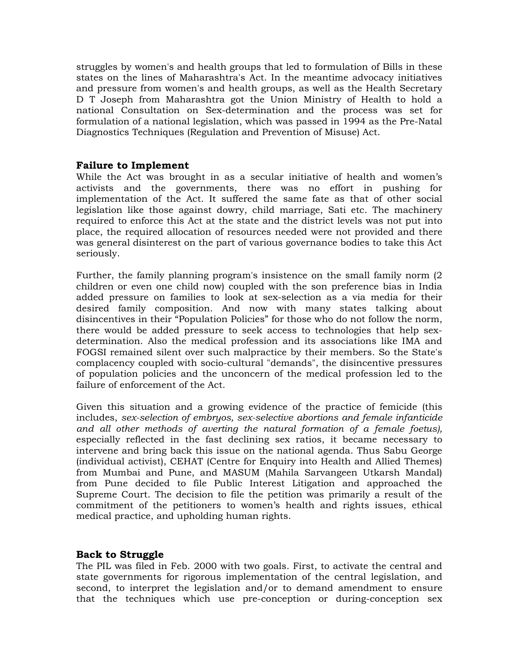struggles by women's and health groups that led to formulation of Bills in these states on the lines of Maharashtra's Act. In the meantime advocacy initiatives and pressure from women's and health groups, as well as the Health Secretary D T Joseph from Maharashtra got the Union Ministry of Health to hold a national Consultation on Sex-determination and the process was set for formulation of a national legislation, which was passed in 1994 as the Pre-Natal Diagnostics Techniques (Regulation and Prevention of Misuse) Act.

#### **Failure to Implement**

While the Act was brought in as a secular initiative of health and women's activists and the governments, there was no effort in pushing for implementation of the Act. It suffered the same fate as that of other social legislation like those against dowry, child marriage, Sati etc. The machinery required to enforce this Act at the state and the district levels was not put into place, the required allocation of resources needed were not provided and there was general disinterest on the part of various governance bodies to take this Act seriously.

Further, the family planning program's insistence on the small family norm (2 children or even one child now) coupled with the son preference bias in India added pressure on families to look at sex-selection as a via media for their desired family composition. And now with many states talking about disincentives in their "Population Policies" for those who do not follow the norm, there would be added pressure to seek access to technologies that help sexdetermination. Also the medical profession and its associations like IMA and FOGSI remained silent over such malpractice by their members. So the State's complacency coupled with socio-cultural "demands", the disincentive pressures of population policies and the unconcern of the medical profession led to the failure of enforcement of the Act.

Given this situation and a growing evidence of the practice of femicide (this includes, *sex-selection of embryos, sex-selective abortions and female infanticide and all other methods of averting the natural formation of a female foetus),*  especially reflected in the fast declining sex ratios, it became necessary to intervene and bring back this issue on the national agenda. Thus Sabu George (individual activist), CEHAT (Centre for Enquiry into Health and Allied Themes) from Mumbai and Pune, and MASUM (Mahila Sarvangeen Utkarsh Mandal) from Pune decided to file Public Interest Litigation and approached the Supreme Court. The decision to file the petition was primarily a result of the commitment of the petitioners to women's health and rights issues, ethical medical practice, and upholding human rights.

#### **Back to Struggle**

The PIL was filed in Feb. 2000 with two goals. First, to activate the central and state governments for rigorous implementation of the central legislation, and second, to interpret the legislation and/or to demand amendment to ensure that the techniques which use pre-conception or during-conception sex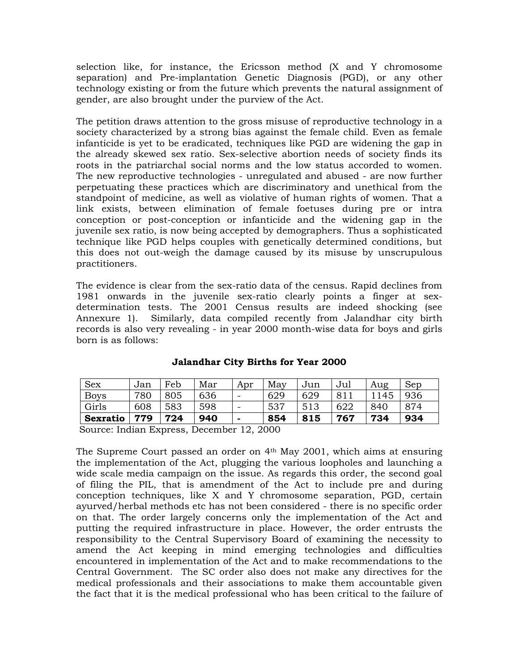selection like, for instance, the Ericsson method (X and Y chromosome separation) and Pre-implantation Genetic Diagnosis (PGD), or any other technology existing or from the future which prevents the natural assignment of gender, are also brought under the purview of the Act.

The petition draws attention to the gross misuse of reproductive technology in a society characterized by a strong bias against the female child. Even as female infanticide is yet to be eradicated, techniques like PGD are widening the gap in the already skewed sex ratio. Sex-selective abortion needs of society finds its roots in the patriarchal social norms and the low status accorded to women. The new reproductive technologies - unregulated and abused - are now further perpetuating these practices which are discriminatory and unethical from the standpoint of medicine, as well as violative of human rights of women. That a link exists, between elimination of female foetuses during pre or intra conception or post-conception or infanticide and the widening gap in the juvenile sex ratio, is now being accepted by demographers. Thus a sophisticated technique like PGD helps couples with genetically determined conditions, but this does not out-weigh the damage caused by its misuse by unscrupulous practitioners.

The evidence is clear from the sex-ratio data of the census. Rapid declines from 1981 onwards in the juvenile sex-ratio clearly points a finger at sexdetermination tests. The 2001 Census results are indeed shocking (see Annexure 1). Similarly, data compiled recently from Jalandhar city birth records is also very revealing - in year 2000 month-wise data for boys and girls born is as follows:

| <b>Sex</b>      | Jan | Feb | Mar | Apr                      | May | Jun | Jul | Aug  | Sep |
|-----------------|-----|-----|-----|--------------------------|-----|-----|-----|------|-----|
| <b>Boys</b>     | 780 | 805 | 636 | $\overline{\phantom{0}}$ | 629 | 629 | 811 | 1145 | 936 |
| Girls           | 608 | 583 | 598 |                          | 537 | 513 | 622 | 840  | 874 |
| <b>Sexratio</b> | 779 | 724 | 940 | $\overline{\phantom{0}}$ | 854 | 815 | 767 | 734  | 934 |

#### **Jalandhar City Births for Year 2000**

Source: Indian Express, December 12, 2000

The Supreme Court passed an order on 4th May 2001, which aims at ensuring the implementation of the Act, plugging the various loopholes and launching a wide scale media campaign on the issue. As regards this order, the second goal of filing the PIL, that is amendment of the Act to include pre and during conception techniques, like X and Y chromosome separation, PGD, certain ayurved/herbal methods etc has not been considered - there is no specific order on that. The order largely concerns only the implementation of the Act and putting the required infrastructure in place. However, the order entrusts the responsibility to the Central Supervisory Board of examining the necessity to amend the Act keeping in mind emerging technologies and difficulties encountered in implementation of the Act and to make recommendations to the Central Government. The SC order also does not make any directives for the medical professionals and their associations to make them accountable given the fact that it is the medical professional who has been critical to the failure of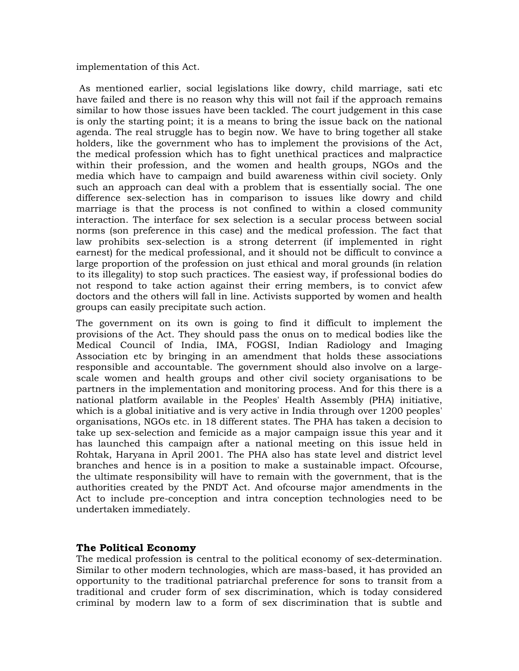implementation of this Act.

 As mentioned earlier, social legislations like dowry, child marriage, sati etc have failed and there is no reason why this will not fail if the approach remains similar to how those issues have been tackled. The court judgement in this case is only the starting point; it is a means to bring the issue back on the national agenda. The real struggle has to begin now. We have to bring together all stake holders, like the government who has to implement the provisions of the Act, the medical profession which has to fight unethical practices and malpractice within their profession, and the women and health groups, NGOs and the media which have to campaign and build awareness within civil society. Only such an approach can deal with a problem that is essentially social. The one difference sex-selection has in comparison to issues like dowry and child marriage is that the process is not confined to within a closed community interaction. The interface for sex selection is a secular process between social norms (son preference in this case) and the medical profession. The fact that law prohibits sex-selection is a strong deterrent (if implemented in right earnest) for the medical professional, and it should not be difficult to convince a large proportion of the profession on just ethical and moral grounds (in relation to its illegality) to stop such practices. The easiest way, if professional bodies do not respond to take action against their erring members, is to convict afew doctors and the others will fall in line. Activists supported by women and health groups can easily precipitate such action.

The government on its own is going to find it difficult to implement the provisions of the Act. They should pass the onus on to medical bodies like the Medical Council of India, IMA, FOGSI, Indian Radiology and Imaging Association etc by bringing in an amendment that holds these associations responsible and accountable. The government should also involve on a largescale women and health groups and other civil society organisations to be partners in the implementation and monitoring process. And for this there is a national platform available in the Peoples' Health Assembly (PHA) initiative, which is a global initiative and is very active in India through over 1200 peoples' organisations, NGOs etc. in 18 different states. The PHA has taken a decision to take up sex-selection and femicide as a major campaign issue this year and it has launched this campaign after a national meeting on this issue held in Rohtak, Haryana in April 2001. The PHA also has state level and district level branches and hence is in a position to make a sustainable impact. Ofcourse, the ultimate responsibility will have to remain with the government, that is the authorities created by the PNDT Act. And ofcourse major amendments in the Act to include pre-conception and intra conception technologies need to be undertaken immediately.

#### **The Political Economy**

The medical profession is central to the political economy of sex-determination. Similar to other modern technologies, which are mass-based, it has provided an opportunity to the traditional patriarchal preference for sons to transit from a traditional and cruder form of sex discrimination, which is today considered criminal by modern law to a form of sex discrimination that is subtle and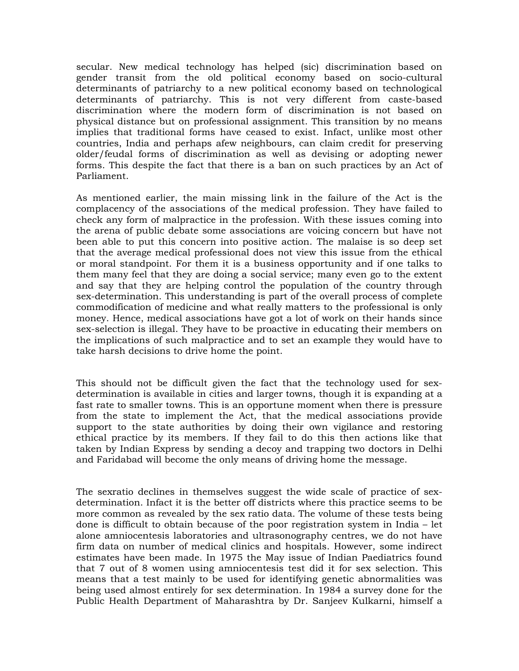secular. New medical technology has helped (sic) discrimination based on gender transit from the old political economy based on socio-cultural determinants of patriarchy to a new political economy based on technological determinants of patriarchy. This is not very different from caste-based discrimination where the modern form of discrimination is not based on physical distance but on professional assignment. This transition by no means implies that traditional forms have ceased to exist. Infact, unlike most other countries, India and perhaps afew neighbours, can claim credit for preserving older/feudal forms of discrimination as well as devising or adopting newer forms. This despite the fact that there is a ban on such practices by an Act of Parliament.

As mentioned earlier, the main missing link in the failure of the Act is the complacency of the associations of the medical profession. They have failed to check any form of malpractice in the profession. With these issues coming into the arena of public debate some associations are voicing concern but have not been able to put this concern into positive action. The malaise is so deep set that the average medical professional does not view this issue from the ethical or moral standpoint. For them it is a business opportunity and if one talks to them many feel that they are doing a social service; many even go to the extent and say that they are helping control the population of the country through sex-determination. This understanding is part of the overall process of complete commodification of medicine and what really matters to the professional is only money. Hence, medical associations have got a lot of work on their hands since sex-selection is illegal. They have to be proactive in educating their members on the implications of such malpractice and to set an example they would have to take harsh decisions to drive home the point.

This should not be difficult given the fact that the technology used for sexdetermination is available in cities and larger towns, though it is expanding at a fast rate to smaller towns. This is an opportune moment when there is pressure from the state to implement the Act, that the medical associations provide support to the state authorities by doing their own vigilance and restoring ethical practice by its members. If they fail to do this then actions like that taken by Indian Express by sending a decoy and trapping two doctors in Delhi and Faridabad will become the only means of driving home the message.

The sexratio declines in themselves suggest the wide scale of practice of sexdetermination. Infact it is the better off districts where this practice seems to be more common as revealed by the sex ratio data. The volume of these tests being done is difficult to obtain because of the poor registration system in India – let alone amniocentesis laboratories and ultrasonography centres, we do not have firm data on number of medical clinics and hospitals. However, some indirect estimates have been made. In 1975 the May issue of Indian Paediatrics found that 7 out of 8 women using amniocentesis test did it for sex selection. This means that a test mainly to be used for identifying genetic abnormalities was being used almost entirely for sex determination. In 1984 a survey done for the Public Health Department of Maharashtra by Dr. Sanjeev Kulkarni, himself a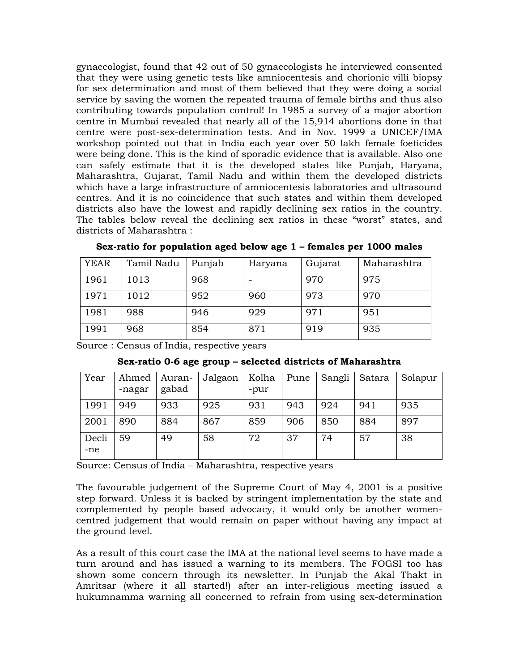gynaecologist, found that 42 out of 50 gynaecologists he interviewed consented that they were using genetic tests like amniocentesis and chorionic villi biopsy for sex determination and most of them believed that they were doing a social service by saving the women the repeated trauma of female births and thus also contributing towards population control! In 1985 a survey of a major abortion centre in Mumbai revealed that nearly all of the 15,914 abortions done in that centre were post-sex-determination tests. And in Nov. 1999 a UNICEF/IMA workshop pointed out that in India each year over 50 lakh female foeticides were being done. This is the kind of sporadic evidence that is available. Also one can safely estimate that it is the developed states like Punjab, Haryana, Maharashtra, Gujarat, Tamil Nadu and within them the developed districts which have a large infrastructure of amniocentesis laboratories and ultrasound centres. And it is no coincidence that such states and within them developed districts also have the lowest and rapidly declining sex ratios in the country. The tables below reveal the declining sex ratios in these "worst" states, and districts of Maharashtra :

| <b>YEAR</b> | Tamil Nadu | Punjab | Haryana | Gujarat | Maharashtra |
|-------------|------------|--------|---------|---------|-------------|
| 1961        | 1013       | 968    |         | 970     | 975         |
| 1971        | 1012       | 952    | 960     | 973     | 970         |
| 1981        | 988        | 946    | 929     | 971     | 951         |
| 1991        | 968        | 854    | 871     | 919     | 935         |

**Sex-ratio for population aged below age 1 – females per 1000 males** 

Source : Census of India, respective years

| Year         | Ahmed<br>-nagar | Auran-<br>gabad | Jalgaon | Kolha<br>-pur | Pune | Sangli | Satara | Solapur |
|--------------|-----------------|-----------------|---------|---------------|------|--------|--------|---------|
| 1991         | 949             | 933             | 925     | 931           | 943  | 924    | 941    | 935     |
| 2001         | 890             | 884             | 867     | 859           | 906  | 850    | 884    | 897     |
| Decli<br>-ne | 59              | 49              | 58      | 72            | 37   | 74     | 57     | 38      |

**Sex-ratio 0-6 age group – selected districts of Maharashtra** 

Source: Census of India – Maharashtra, respective years

The favourable judgement of the Supreme Court of May 4, 2001 is a positive step forward. Unless it is backed by stringent implementation by the state and complemented by people based advocacy, it would only be another womencentred judgement that would remain on paper without having any impact at the ground level.

As a result of this court case the IMA at the national level seems to have made a turn around and has issued a warning to its members. The FOGSI too has shown some concern through its newsletter. In Punjab the Akal Thakt in Amritsar (where it all started!) after an inter-religious meeting issued a hukumnamma warning all concerned to refrain from using sex-determination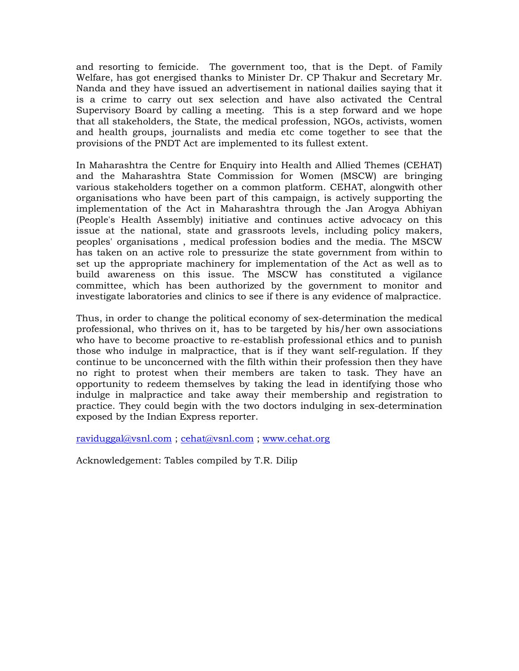and resorting to femicide. The government too, that is the Dept. of Family Welfare, has got energised thanks to Minister Dr. CP Thakur and Secretary Mr. Nanda and they have issued an advertisement in national dailies saying that it is a crime to carry out sex selection and have also activated the Central Supervisory Board by calling a meeting. This is a step forward and we hope that all stakeholders, the State, the medical profession, NGOs, activists, women and health groups, journalists and media etc come together to see that the provisions of the PNDT Act are implemented to its fullest extent.

In Maharashtra the Centre for Enquiry into Health and Allied Themes (CEHAT) and the Maharashtra State Commission for Women (MSCW) are bringing various stakeholders together on a common platform. CEHAT, alongwith other organisations who have been part of this campaign, is actively supporting the implementation of the Act in Maharashtra through the Jan Arogya Abhiyan (People's Health Assembly) initiative and continues active advocacy on this issue at the national, state and grassroots levels, including policy makers, peoples' organisations , medical profession bodies and the media. The MSCW has taken on an active role to pressurize the state government from within to set up the appropriate machinery for implementation of the Act as well as to build awareness on this issue. The MSCW has constituted a vigilance committee, which has been authorized by the government to monitor and investigate laboratories and clinics to see if there is any evidence of malpractice.

Thus, in order to change the political economy of sex-determination the medical professional, who thrives on it, has to be targeted by his/her own associations who have to become proactive to re-establish professional ethics and to punish those who indulge in malpractice, that is if they want self-regulation. If they continue to be unconcerned with the filth within their profession then they have no right to protest when their members are taken to task. They have an opportunity to redeem themselves by taking the lead in identifying those who indulge in malpractice and take away their membership and registration to practice. They could begin with the two doctors indulging in sex-determination exposed by the Indian Express reporter.

raviduggal@vsnl.com ; cehat@vsnl.com ; www.cehat.org

Acknowledgement: Tables compiled by T.R. Dilip